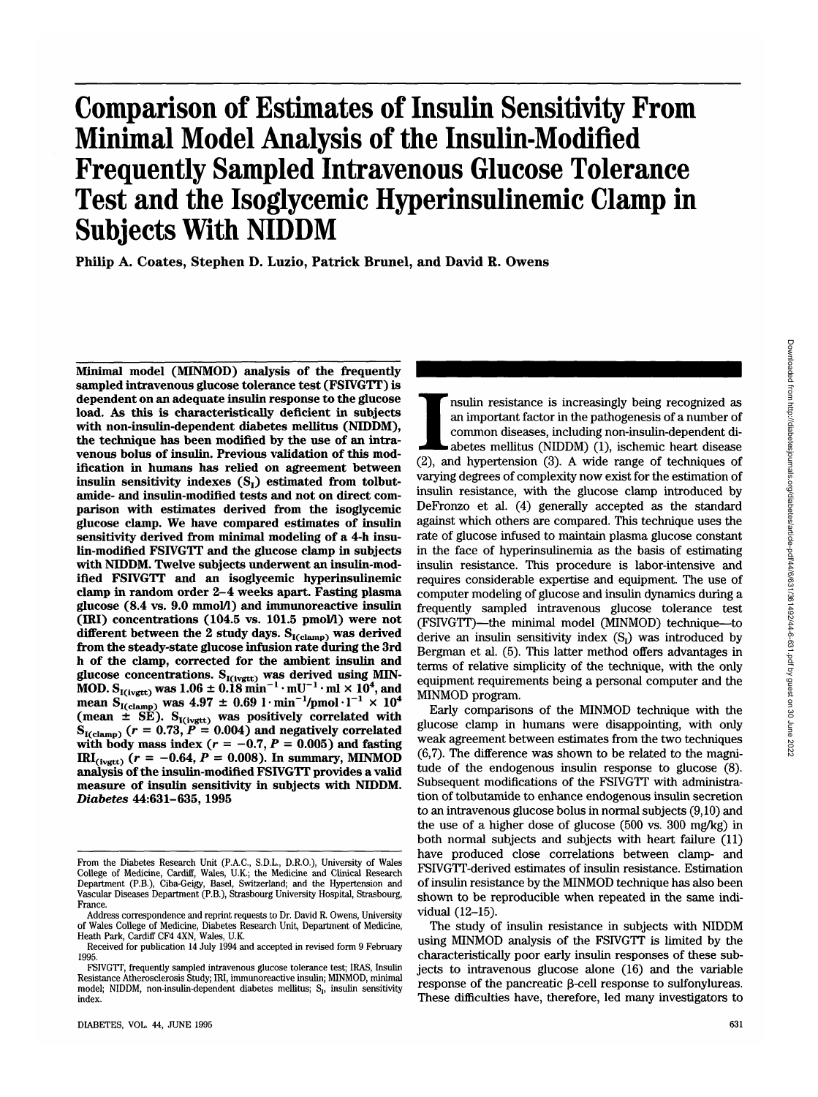# **Comparison of Estimates of Insulin Sensitivity From Minimal Model Analysis of the Insulin-Modified Frequently Sampled Intravenous Glucose Tolerance Test and the Isoglycemic Hyperinsulinemic Clamp in Subjects With NIDDM**

**Philip A. Coates, Stephen D. Luzio, Patrick Brunei, and David R. Owens**

**Minimal model (MINMOD) analysis of the frequently sampled intravenous glucose tolerance test (FSIVGTT) is dependent on an adequate insulin response to the glucose load. As this is characteristically deficient in subjects with non-insulin-dependent diabetes mellitus (NIDDM), the technique has been modified by the use of an intravenous bolus of insulin. Previous validation of this modification in humans has relied on agreement between** insulin sensitivity indexes  $(S<sub>I</sub>)$  estimated from tolbut**amide- and insulin-modified tests and not on direct comparison with estimates derived from the isoglycemic glucose clamp. We have compared estimates of insulin sensitivity derived from minimal modeling of a 4-h insulin-modified FSIVGTT and the glucose clamp in subjects with NIDDM. Twelve subjects underwent an insulin-modified FSIVGIT and an isoglycemic hyperinsulinemic clamp in random order 2-4 weeks apart. Fasting plasma glucose (8.4 vs. 9.0 mmol/l) and immunoreactive insulin (IRI) concentrations (104.5 vs. 101.5 pmol/1) were not** different between the 2 study days. S<sub>I(clamp)</sub> was derived **from the steady-state glucose infusion rate during the 3rd h of the clamp, corrected for the ambient insulin and** glucose concentrations. S<sub>I(ivgtt)</sub> was derived using MIN-**MOD.**  $S_{\text{I}(\text{ivytt})}$  was 1.06  $\pm$  0.18 min<sup>-1</sup> · mU<sup>-1</sup> · ml  $\times$  10<sup>4</sup>, and mean  $S_{\text{I(clamp)}}^{\text{(v.g.)}}$  was  $4.97 \pm 0.69 \text{ l} \cdot \text{min}^{-1} / \text{pmol} \cdot \text{l}^{-1} \times 10^4$ (mean  $\pm$  SE). S<sub>I(ivgtt)</sub> was positively correlated with  $S_{\text{I(clamp)}}$  ( $r = 0.73, P = 0.004$ ) and negatively correlated with body mass index ( $r = -0.7$ ,  $P = 0.005$ ) and fasting **IRI**<sub>civett</sub>)</sub>  $(r = -0.64, P = 0.008)$ . In summary, MINMOD **analysis of the insulin-modified FSIVGIT provides a valid measure of insulin sensitivity in subjects with NIDDM.** *Diabetes* **44:631-635, 1995**

In the passion of the pathogenesis of a number of<br>an important factor in the pathogenesis of a number of<br>common diseases, including non-insulin-dependent di-<br>abetes mellitus (NIDDM) (1), ischemic heart disease<br>(2), and hyp nsulin resistance is increasingly being recognized as an important factor in the pathogenesis of a number of common diseases, including non-insulin-dependent diabetes mellitus (NIDDM) (1), ischemic heart disease varying degrees of complexity now exist for the estimation of insulin resistance, with the glucose clamp introduced by DeFronzo et al. (4) generally accepted as the standard against which others are compared. This technique uses the rate of glucose infused to maintain plasma glucose constant in the face of hyperinsulinemia as the basis of estimating insulin resistance. This procedure is labor-intensive and requires considerable expertise and equipment. The use of computer modeling of glucose and insulin dynamics during a frequently sampled intravenous glucose tolerance test (FSIVGTT)—the minimal model (MINMOD) technique—to derive an insulin sensitivity index  $(S_I)$  was introduced by Bergman et al. (5). This latter method offers advantages in terms of relative simplicity of the technique, with the only equipment requirements being a personal computer and the MINMOD program.

Early comparisons of the MINMOD technique with the glucose clamp in humans were disappointing, with only weak agreement between estimates from the two techniques (6,7). The difference was shown to be related to the magnitude of the endogenous insulin response to glucose (8). Subsequent modifications of the FSIVGTT with administration of tolbutamide to enhance endogenous insulin secretion to an intravenous glucose bolus in normal subjects (9,10) and the use of a higher dose of glucose (500 vs. 300 mg/kg) in both normal subjects and subjects with heart failure (11) have produced close correlations between clamp- and FSIVGTT-derived estimates of insulin resistance. Estimation of insulin resistance by the MINMOD technique has also been shown to be reproducible when repeated in the same individual (12-15).

The study of insulin resistance in subjects with NIDDM using MINMOD analysis of the FSIVGTT is limited by the characteristically poor early insulin responses of these subjects to intravenous glucose alone (16) and the variable response of the pancreatic 3-cell response to sulfonylureas. These difficulties have, therefore, led many investigators to

From the Diabetes Research Unit (P.A.C., S.D.L., D.R.O.), University of Wales College of Medicine, Cardiff, Wales, U.K.; the Medicine and Clinical Research Department (P.B.), Ciba-Geigy, Basel, Switzerland; and the Hypertension and Vascular Diseases Department (P.B.), Strasbourg University Hospital, Strasbourg, France.

Address correspondence and reprint requests to Dr. David R. Owens, University of Wales College of Medicine, Diabetes Research Unit, Department of Medicine, Heath Park, Cardiff CF4 4XN, Wales, U.K.

Received for publication 14 July 1994 and accepted in revised form 9 February 1995.

FSrVGTT, frequently sampled intravenous glucose tolerance test; IRAS, Insulin Resistance Atherosclerosis Study; IRI, immunoreactive insulin; MINMOD, minimal model; NIDDM, non-insulin-dependent diabetes mellitus;  $S<sub>1</sub>$ , insulin sensitivity index.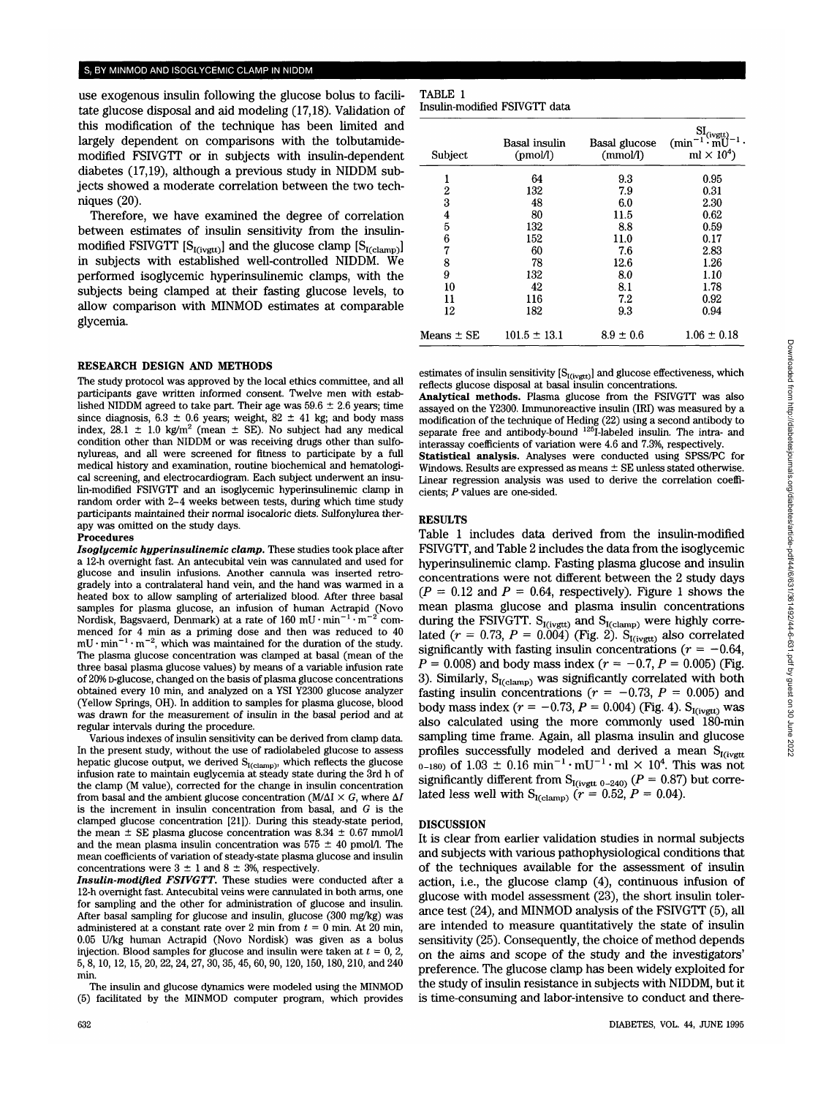## S, BY MINMOD AND ISOGLYCEMIC CLAMP IN NIDDM

use exogenous insulin following the glucose bolus to facilitate glucose disposal and aid modeling (17,18). Validation of this modification of the technique has been limited and largely dependent on comparisons with the tolbutamidemodified FSIVGTT or in subjects with insulin-dependent diabetes (17,19), although a previous study in NIDDM subjects showed a moderate correlation between the two techniques (20).

Therefore, we have examined the degree of correlation between estimates of insulin sensitivity from the insulinmodified FSIVGTT  $[S_{I(ivgt)}]$  and the glucose clamp  $[S_{I(clamp)}]$ in subjects with established well-controlled NIDDM. We performed isoglycemic hyperinsulinemic clamps, with the subjects being clamped at their fasting glucose levels, to allow comparison with MINMOD estimates at comparable glycemia.

## **RESEARCH DESIGN AND METHODS**

The study protocol was approved by the local ethics committee, and all participants gave written informed consent. Twelve men with established NIDDM agreed to take part. Their age was  $59.6 \pm 2.6$  years; time since diagnosis,  $6.3 \pm 0.6$  years; weight,  $82 \pm 41$  kg; and body mass index,  $28.1 \pm 1.0$  kg/m<sup>2</sup> (mean  $\pm$  SE). No subject had any medical condition other than NIDDM or was receiving drugs other than sulfonylureas, and all were screened for fitness to participate by a full medical history and examination, routine biochemical and hematological screening, and electrocardiogram. Each subject underwent an insulin-modified FSIVGTT and an isoglycemic hyperinsulinemic clamp in random order with 2-4 weeks between tests, during which time study participants maintained their normal isocaloric diets. Sulfonylurea therapy was omitted on the study days.

#### **Procedures**

*Isoglycemic hyperinsulinemic clamp.* These studies took place after a 12-h overnight fast. An antecubital vein was cannulated and used for glucose and insulin infusions. Another cannula was inserted retrogradely into a contralateral hand vein, and the hand was warmed in a heated box to allow sampling of arterialized blood. After three basal samples for plasma glucose, an infusion of human Actrapid (Novo)<br>samples for plasma glucose, an infusion of  $120 \text{ mH}$ ,  $\text{min}^{-1} \cdot \text{m}^{-2}$  com Nordisk, Bagsvaerd, Denmark) at a rate of  $160 \text{ mU} \cdot \text{min}^{-1} \cdot \text{m}^{-2}$  commenced for 4 min as a priming dose and then was reduced to 40  $mU \cdot min^{-1} \cdot m^{-2}$ , which was maintained for the duration of the study. The plasma glucose concentration was clamped at basal (mean of the three basal plasma glucose values) by means of a variable infusion rate of 20% D-glucose, changed on the basis of plasma glucose concentrations obtained every 10 min, and analyzed on a YSI Y2300 glucose analyzer (Yellow Springs, OH). In addition to samples for plasma glucose, blood was drawn for the measurement of insulin in the basal period and at regular intervals during the procedure.

Various indexes of insulin sensitivity can be derived from clamp data. In the present study, without the use of radiolabeled glucose to assess hepatic glucose output, we derived  $S_{I(clamp)}$ , which reflects the glucose infusion rate to maintain euglycemia at steady state during the 3rd h of the clamp (M value), corrected for the change in insulin concentration from basal and the ambient glucose concentration ( $M/\Delta I \times G$ , where  $\Delta I$ is the increment in insulin concentration from basal, and *G* is the clamped glucose concentration [21]). During this steady-state period, the mean  $\pm$  SE plasma glucose concentration was 8.34  $\pm$  0.67 mmol/1 and the mean plasma insulin concentration was  $575 \pm 40$  pmol/l. The mean coefficients of variation of steady-state plasma glucose and insulin concentrations were  $3 \pm 1$  and  $8 \pm 3$ %, respectively.

*Insulin-modified FSIVGTT.* These studies were conducted after a 12-h overnight fast. Antecubital veins were cannulated in both arms, one for sampling and the other for administration of glucose and insulin. After basal sampling for glucose and insulin, glucose (300 mg/kg) was administered at a constant rate over 2 min from  $t = 0$  min. At 20 min, 0.05 U/kg human Actrapid (Novo Nordisk) was given as a bolus injection. Blood samples for glucose and insulin were taken at  $t = 0, 2$ , 5, 8,10,12, 15, 20, 22, 24, 27, 30, 35, 45, 60, 90, 120, 150,180, 210, and 240 min.

The insulin and glucose dynamics were modeled using the MINMOD (5) facilitated by the MINMOD computer program, which provides

| <b>TABLE 1</b>                |  |
|-------------------------------|--|
| Insulin-modified FSIVGTT data |  |

| Subject        | Basal insulin<br>(pmol/l) | Basal glucose<br>(mmol/l) | $\mathrm{SI}_{\mathrm{(ivgtt)}}$<br>(min<br>mU<br>ml $\times$ 10 <sup>4</sup> ) |
|----------------|---------------------------|---------------------------|---------------------------------------------------------------------------------|
| 1              | 64                        | 9.3                       | 0.95                                                                            |
| $\mathbf{2}$   | 132                       | 7.9                       | 0.31                                                                            |
| 3              | 48                        | 6.0                       | 2.30                                                                            |
| 4              | 80                        | 11.5                      | 0.62                                                                            |
| 5              | 132                       | 8.8                       | 0.59                                                                            |
| 6              | 152                       | 11.0                      | 0.17                                                                            |
| 7              | 60                        | 7.6                       | 2.83                                                                            |
| 8              | 78                        | 12.6                      | 1.26                                                                            |
| 9              | 132                       | 8.0                       | 1.10                                                                            |
| 10             | 42                        | 8.1                       | 1.78                                                                            |
| 11             | 116                       | 7.2                       | 0.92                                                                            |
| 12             | 182                       | 9.3                       | 0.94                                                                            |
| Means $\pm$ SE | $101.5 \pm 13.1$          | $8.9 \pm 0.6$             | $1.06 \pm 0.18$                                                                 |

estimates of insulin sensitivity  $[S_{I(ivgt)]} ]$  and glucose effectiveness, which reflects glucose disposal at basal insulin concentrations.

**Analytical methods.** Plasma glucose from the FSIVGTT was also assayed on the Y2300. Immunoreactive insulin (IRI) was measured by a modification of the technique of Heding (22) using a second antibody to separate free and antibody-bound  $^{125}$ I-labeled insulin. The intra- and interassay coefficients of variation were 4.6 and 7.3%, respectively. **Statistical analysis.** Analyses were conducted using SPSS/PC for Windows. Results are expressed as means  $\pm$  SE unless stated otherwise. Linear regression analysis was used to derive the correlation coefficients; *P* values are one-sided.

# **RESULTS**

Table 1 includes data derived from the insulin-modified FSIVGTT, and Table 2 includes the data from the isoglycemic hyperinsulinemic clamp. Fasting plasma glucose and insulin concentrations were not different between the 2 study days  $(P = 0.12$  and  $P = 0.64$ , respectively). Figure 1 shows the mean plasma glucose and plasma insulin concentrations during the FSIVGTT.  $S_{I(i\text{vgtt})}$  and  $S_{I(\text{clamp})}$  were highly correlated ( $r = 0.73$ ,  $P = 0.004$ ) (Fig. 2). S<sub>I(ivgtt)</sub> also correlated significantly with fasting insulin concentrations ( $r = -0.64$ ,  $P = 0.008$ ) and body mass index ( $r = -0.7$ ,  $P = 0.005$ ) (Fig. 3). Similarly,  $S_{I(clamp)}$  was significantly correlated with both fasting insulin concentrations ( $r = -0.73$ ,  $P = 0.005$ ) and body mass index ( $r = -0.73, P = 0.004$ ) (Fig. 4). S<sub>I(ivgtt)</sub> was also calculated using the more commonly used 180-min sampling time frame. Again, all plasma insulin and glucose profiles successfully modeled and derived a mean  $S_{V(\text{ivert})}$  $_{0-180}$  of 1.03  $\pm$  0.16 min<sup>-1</sup> · mU<sup>-1</sup> · ml  $\times$  10<sup>4</sup>. This was not significantly different from  $S<sub>I(ivgt 0-240)</sub>$  ( $P = 0.87$ ) but correlated less well with  $S_{\text{I(clamp)}}$  ( $r = 0.52$ ,  $P = 0.04$ ).

## DISCUSSION

It is clear from earlier validation studies in normal subjects and subjects with various pathophysiological conditions that of the techniques available for the assessment of insulin action, i.e., the glucose clamp (4), continuous infusion of glucose with model assessment (23), the short insulin tolerance test (24), and MINMOD analysis of the FSIVGTT (5), all are intended to measure quantitatively the state of insulin sensitivity (25). Consequently, the choice of method depends on the aims and scope of the study and the investigators' preference. The glucose clamp has been widely exploited for the study of insulin resistance in subjects with NIDDM, but it is time-consuming and labor-intensive to conduct and there-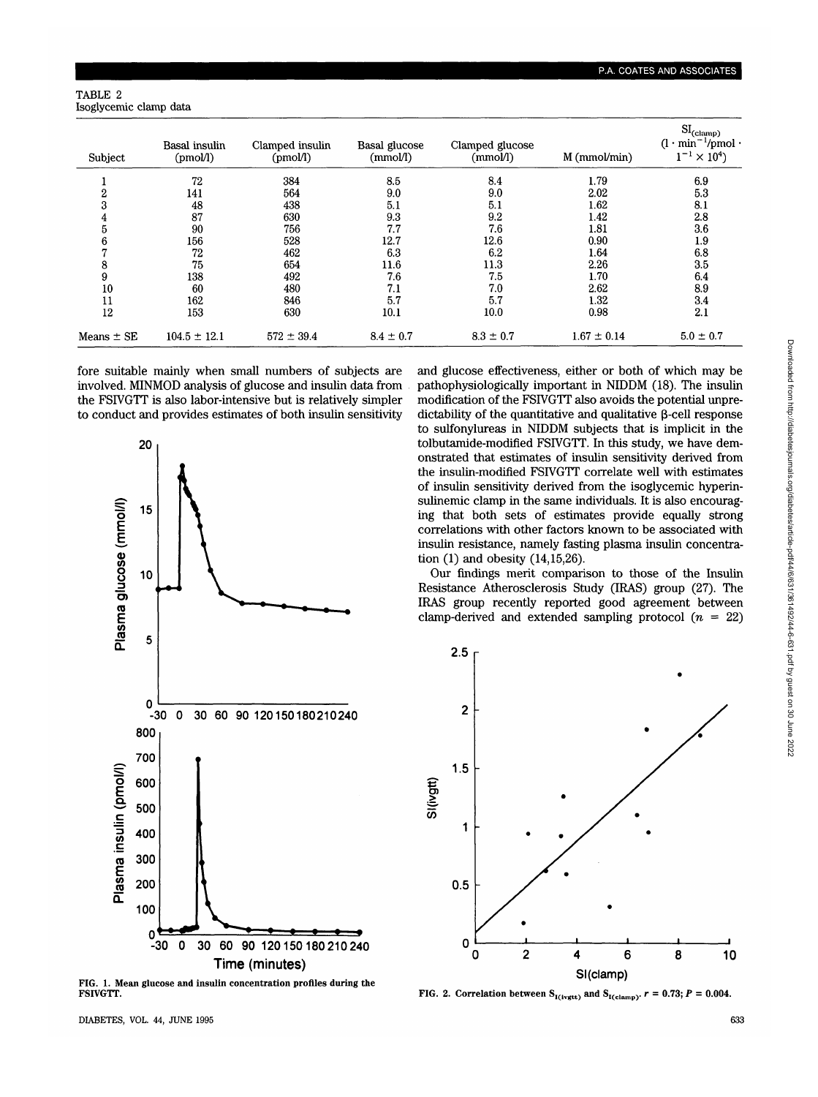TABLE 2 Isoglycemic clamp data

| Subject        | Basal insulin<br>(pmol) | Clamped insulin<br>(pmol) | Basal glucose<br>(mmol/l) | Clamped glucose<br>(mmol) | M (mmol/min)    | $\mathrm{SI}_\mathrm{(clamp)}$<br>$(1 \cdot \text{min}^{-1} / \text{pmol} \cdot$<br>$1^{-1} \times 10^{4}$ |
|----------------|-------------------------|---------------------------|---------------------------|---------------------------|-----------------|------------------------------------------------------------------------------------------------------------|
|                | 72                      | 384                       | 8.5                       | 8.4                       | 1.79            | 6.9                                                                                                        |
| 2              | 141                     | 564                       | 9.0                       | 9.0                       | 2.02            | 5.3                                                                                                        |
| 3              | 48                      | 438                       | 5.1                       | 5.1                       | 1.62            | 8.1                                                                                                        |
| 4              | 87                      | 630                       | 9.3                       | 9.2                       | 1.42            | 2.8                                                                                                        |
| 5              | 90                      | 756                       | 7.7                       | 7.6                       | 1.81            | 3.6                                                                                                        |
| 6              | 156                     | 528                       | 12.7                      | 12.6                      | 0.90            | 1.9                                                                                                        |
|                | 72                      | 462                       | 6.3                       | 6.2                       | 1.64            | 6.8                                                                                                        |
| 8              | 75                      | 654                       | 11.6                      | 11.3                      | 2.26            | 3.5                                                                                                        |
| 9              | 138                     | 492                       | 7.6                       | 7.5                       | 1.70            | 6.4                                                                                                        |
| 10             | 60                      | 480                       | 7.1                       | 7.0                       | 2.62            | 8.9                                                                                                        |
| 11             | 162                     | 846                       | 5.7                       | 5.7                       | 1.32            | 3.4                                                                                                        |
| 12             | 153                     | 630                       | 10.1                      | 10.0                      | 0.98            | 2.1                                                                                                        |
| Means $\pm$ SE | $104.5 \pm 12.1$        | $572 \pm 39.4$            | $8.4 \pm 0.7$             | $8.3 \pm 0.7$             | $1.67 \pm 0.14$ | $5.0 \pm 0.7$                                                                                              |

fore suitable mainly when small numbers of subjects are involved. MINMOD analysis of glucose and insulin data from the FSIVGTT is also labor-intensive but is relatively simpler to conduct and provides estimates of both insulin sensitivity



FIG. 1. Mean glucose and insulin concentration profiles during the FSIVGTT.

DIABETES, VOL. 44, JUNE 1995 633

and glucose effectiveness, either or both of which may be pathophysiologically important in NIDDM (18). The insulin modification of the FSIVGTT also avoids the potential unpredictability of the quantitative and qualitative  $\beta$ -cell response to sulfonylureas in NIDDM subjects that is implicit in the tolbutamide-modified FSIVGTT. In this study, we have demonstrated that estimates of insulin sensitivity derived from the insulin-modified FSIVGTT correlate well with estimates of insulin sensitivity derived from the isoglycemic hyperinsulinemic clamp in the same individuals. It is also encouraging that both sets of estimates provide equally strong correlations with other factors known to be associated with insulin resistance, namely fasting plasma insulin concentration (1) and obesity (14,15,26).

Our findings merit comparison to those of the Insulin Resistance Atherosclerosis Study (IRAS) group (27). The IRAS group recently reported good agreement between clamp-derived and extended sampling protocol  $(n = 22)$ 



FIG. 2. Correlation between  $S_{I(\text{ivgtt})}$  and  $S_{I(\text{clamp})}$ .  $r = 0.73$ ;  $P = 0.004$ .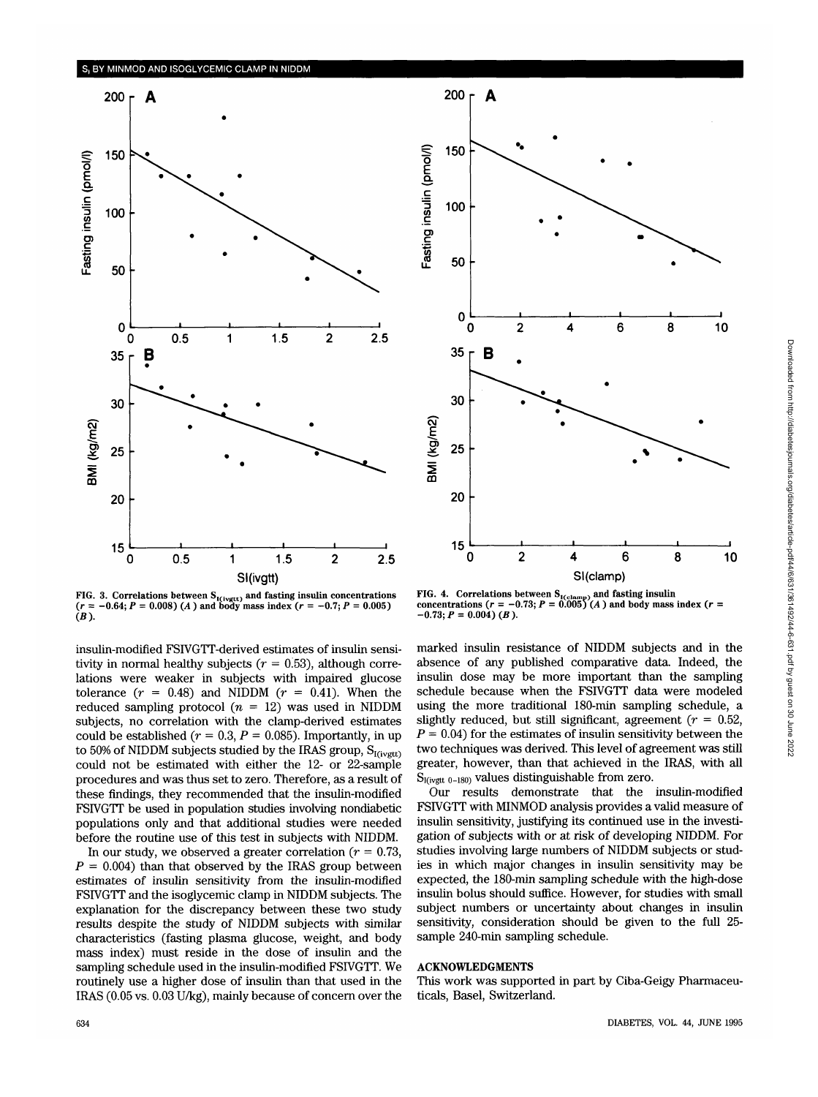



FIG. 3. Correlations between  $S_{I(i\text{sqrt}t)}$  and fasting insulin concentrations ( $r = -0.64$ ;  $P = 0.008$ )*(A)* and body mass index ( $r = -0.7$ ;  $P = 0.005$ )  $(r =$ <br> $(B).$ 

insulin-modified FSIVGTT-derived estimates of insulin sensitivity in normal healthy subjects ( $r = 0.53$ ), although correlations were weaker in subjects with impaired glucose tolerance  $(r = 0.48)$  and NIDDM  $(r = 0.41)$ . When the reduced sampling protocol  $(n = 12)$  was used in NIDDM subjects, no correlation with the clamp-derived estimates could be established ( $r = 0.3$ ,  $P = 0.085$ ). Importantly, in up to 50% of NIDDM subjects studied by the IRAS group,  $S<sub>I(iwgtt</sub>$ could not be estimated with either the 12- or 22-sample procedures and was thus set to zero. Therefore, as a result of these findings, they recommended that the insulin-modified FSrVGTT be used in population studies involving nondiabetic populations only and that additional studies were needed before the routine use of this test in subjects with NIDDM.

In our study, we observed a greater correlation *(r =* 0.73,  $P = 0.004$ ) than that observed by the IRAS group between estimates of insulin sensitivity from the insulin-modified FSIVGTT and the isoglycemic clamp in NIDDM subjects. The explanation for the discrepancy between these two study results despite the study of NIDDM subjects with similar characteristics (fasting plasma glucose, weight, and body mass index) must reside in the dose of insulin and the sampling schedule used in the insulin-modified FSIVGTT. We routinely use a higher dose of insulin than that used in the IRAS (0.05 vs. 0.03 U/kg), mainly because of concern over the

FIG. 4. Correlations between  $S_{I(\text{clamp})}$  and fasting insulin concentrations  $(r = -0.73; P = 0.005)$  (A) and body mass index  $(r = -0.73; P = 0.004)$  (B).

marked insulin resistance of NIDDM subjects and in the absence of any published comparative data. Indeed, the insulin dose may be more important than the sampling schedule because when the FSIVGTT data were modeled using the more traditional 180-min sampling schedule, a slightly reduced, but still significant, agreement ( $r = 0.52$ ,  $P = 0.04$ ) for the estimates of insulin sensitivity between the two techniques was derived. This level of agreement was still greater, however, than that achieved in the IRAS, with all  $S_{I(ivgt)}$  o-180) values distinguishable from zero.

Our results demonstrate that the insulin-modified FSIVGTT with MINMOD analysis provides a valid measure of insulin sensitivity, justifying its continued use in the investigation of subjects with or at risk of developing NIDDM. For studies involving large numbers of NIDDM subjects or studies in which major changes in insulin sensitivity may be expected, the 180-min sampling schedule with the high-dose insulin bolus should suffice. However, for studies with small subject numbers or uncertainty about changes in insulin sensitivity, consideration should be given to the full 25 sample 240-min sampling schedule.

# ACKNOWLEDGMENTS

This work was supported in part by Ciba-Geigy Pharmaceuticals, Basel, Switzerland.